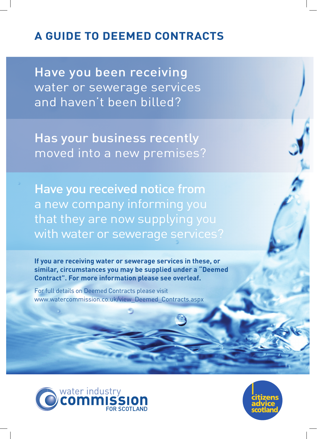# **A GUIDE TO DEEMED CONTRACTS**

Have you been receiving water or sewerage services and haven't been billed?

Has your business recently moved into a new premises?

Have you received notice from a new company informing you that they are now supplying you with water or sewerage services?

**If you are receiving water or sewerage services in these, or similar, circumstances you may be supplied under a "Deemed Contract". For more information please see overleaf.**

For full details on Deemed Contracts please visit www.watercommission.co.uk/view\_Deemed\_Contracts.aspx